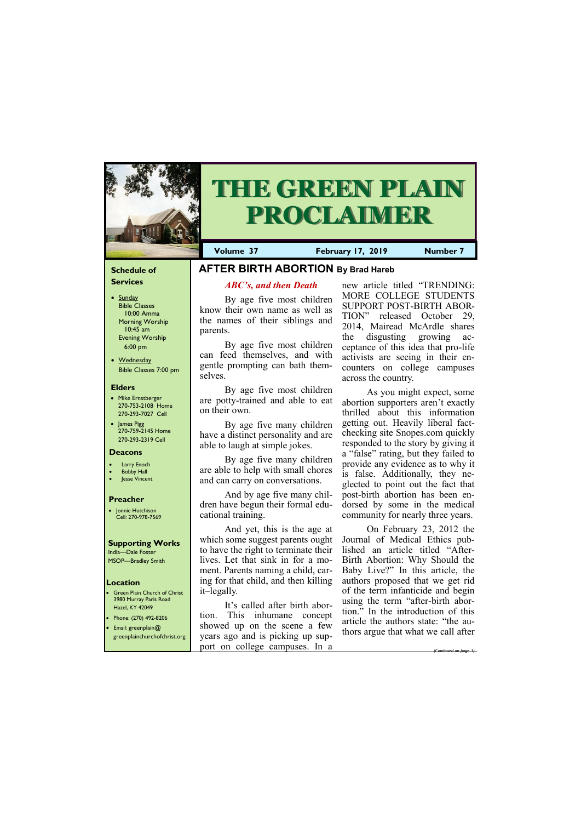#### **Schedule of Services**

- Sunday Bible Classes 10:00 Amma Morning Worship 10:45 am Evening Worship 6:00 pm
- Wednesday Bible Classes 7:00 pm

#### **Elders**

**Green Plain Church of Christ** 3980 Murray Paris Road Hazel, KY 42049 • Phone: (270) 492-8206

- Mike Ernstberger 270-753-2108 Home 270-293-7027 Cell
- James Pigg 270-759-2145 Home 270-293-2319 Cell

## **Location**



# **THE GREEN PLAIN PROCLAIMER**

**Volume 37** February 17, 2019 Number 7

#### **Deacons**

- **Larry Enoch**
- **Bobby Hall**
- **Jesse Vincent**

#### **Preacher**

• Jonnie Hutchison Cell: 270-978-7569

#### **Supporting Works** India—Dale Foster

MSOP—Bradley Smith

## **AFTER BIRTH ABORTION By Brad Hareb**

### *ABC's, and then Death*

By age five most children know their own name as well as the names of their siblings and parents.

By age five most children can feed themselves, and with gentle prompting can bath themselves.

By age five most children are potty-trained and able to eat on their own.

By age five many children have a distinct personality and are able to laugh at simple jokes.

By age five many children are able to help with small chores and can carry on conversations.

> On February 23, 2012 the Journal of Medical Ethics published an article titled "After-Birth Abortion: Why Should the Baby Live?" In this article, the authors proposed that we get rid of the term infanticide and begin using the term "after-birth abortion." In the introduction of this ticle the authors state: " $t_1$

And by age five many children have begun their formal educational training.

And yet, this is the age at which some suggest parents ought to have the right to terminate their lives. Let that sink in for a moment. Parents naming a child, caring for that child, and then killing it–legally.

It's called after birth abortion. This inhumane concept

| <b>•</b> Email: greenplain@  | showed up on the scene a few     | article the authors state: the au-  |
|------------------------------|----------------------------------|-------------------------------------|
| greenplainchurchofchrist.org | years ago and is picking up sup- | thors argue that what we call after |
|                              | port on college campuses. In a   | (Continued on base 3)               |

new article titled "TRENDING: MORE COLLEGE STUDENTS SUPPORT POST-BIRTH ABOR-TION" released October 29, 2014, Mairead McArdle shares the disgusting growing acceptance of this idea that pro-life activists are seeing in their encounters on college campuses across the country.

As you might expect, some abortion supporters aren't exactly thrilled about this information getting out. Heavily liberal factchecking site Snopes.com quickly responded to the story by giving it a "false" rating, but they failed to provide any evidence as to why it is false. Additionally, they neglected to point out the fact that post-birth abortion has been endorsed by some in the medical community for nearly three years.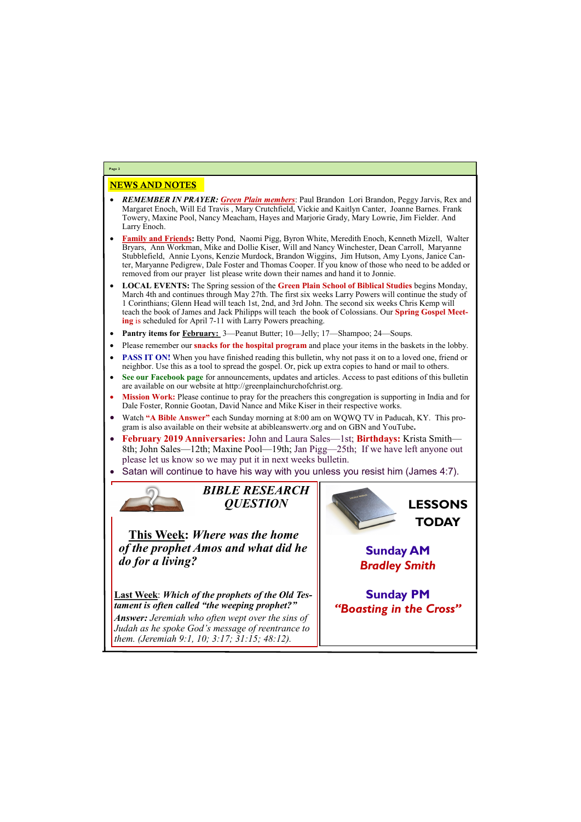## NEWS AND NOTES

- *REMEMBER IN PRAYER: Green Plain members*: Paul Brandon Lori Brandon, Peggy Jarvis, Rex and Margaret Enoch, Will Ed Travis , Mary Crutchfield, Vickie and Kaitlyn Canter, Joanne Barnes. Frank Towery, Maxine Pool, Nancy Meacham, Hayes and Marjorie Grady, Mary Lowrie, Jim Fielder. And Larry Enoch.
- **Family and Friends:** Betty Pond, Naomi Pigg, Byron White, Meredith Enoch, Kenneth Mizell, Walter Bryars, Ann Workman, Mike and Dollie Kiser, Will and Nancy Winchester, Dean Carroll, Maryanne Stubblefield, Annie Lyons, Kenzie Murdock, Brandon Wiggins, Jim Hutson, Amy Lyons, Janice Canter, Maryanne Pedigrew, Dale Foster and Thomas Cooper. If you know of those who need to be added or removed from our prayer list please write down their names and hand it to Jonnie.
- **LOCAL EVENTS:** The Spring session of the **Green Plain School of Biblical Studies** begins Monday, March 4th and continues through May 27th. The first six weeks Larry Powers will continue the study of 1 Corinthians; Glenn Head will teach 1st, 2nd, and 3rd John. The second six weeks Chris Kemp will teach the book of James and Jack Philipps will teach the book of Colossians. Our **Spring Gospel Meeting** is scheduled for April 7-11 with Larry Powers preaching.
- **Pantry items for February:** 3—Peanut Butter; 10—Jelly; 17—Shampoo; 24—Soups.
- Please remember our **snacks for the hospital program** and place your items in the baskets in the lobby.
- **PASS IT ON!** When you have finished reading this bulletin, why not pass it on to a loved one, friend or neighbor. Use this as a tool to spread the gospel. Or, pick up extra copies to hand or mail to others.
- **See our Facebook page** for announcements, updates and articles. Access to past editions of this bulletin are available on our website at http://greenplainchurchofchrist.org.
- **Mission Work:** Please continue to pray for the preachers this congregation is supporting in India and for Dale Foster, Ronnie Gootan, David Nance and Mike Kiser in their respective works.
- Watch **"A Bible Answer"** each Sunday morning at 8:00 am on WQWQ TV in Paducah, KY. This program is also available on their website at abibleanswertv.org and on GBN and YouTube**.**
- **February 2019 Anniversaries:** John and Laura Sales—1st; **Birthdays:** Krista Smith— 8th; John Sales—12th; Maxine Pool—19th; Jan Pigg—25th; If we have left anyone out please let us know so we may put it in next weeks bulletin.
- Satan will continue to have his way with you unless you resist him (James 4:7).



**Page 2**

*BIBLE RESEARCH QUESTION*

**This Week:** *Where was the home of the prophet Amos and what did he do for a living?*

**Last Week**: *Which of the prophets of the Old Testament is often called "the weeping prophet?" Answer: Jeremiah who often wept over the sins of* 

| <i>Judah as he spoke God's message of reentrance to</i><br><i>them. (Jeremiah 9:1, 10; 3:17; 31:15; 48:12).</i> |  |
|-----------------------------------------------------------------------------------------------------------------|--|
|-----------------------------------------------------------------------------------------------------------------|--|



**Sunday AM** *Bradley Smith*

**Sunday PM** *"Boasting in the Cross"*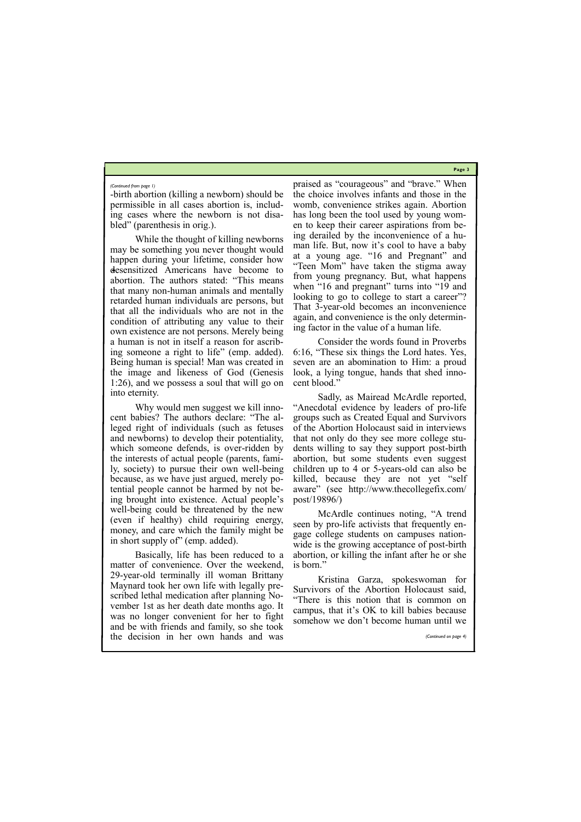**Page 3**

-birth abortion (killing a newborn) should be permissible in all cases abortion is, including cases where the newborn is not disabled" (parenthesis in orig.).

Why would men suggest we kill innocent babies? The authors declare: "The alleged right of individuals (such as fetuses and newborns) to develop their potentiality, which someone defends, is over-ridden by the interests of actual people (parents, family, society) to pursue their own well-being because, as we have just argued, merely potential people cannot be harmed by not being brought into existence. Actual people's well-being could be threatened by the new (even if healthy) child requiring energy, money, and care which the family might be in short supply of" (emp. added).

While the thought of killing newborns may be something you never thought would happen during your lifetime, consider how desensitized Americans have become to abortion. The authors stated: "This means that many non-human animals and mentally retarded human individuals are persons, but that all the individuals who are not in the condition of attributing any value to their own existence are not persons. Merely being a human is not in itself a reason for ascribing someone a right to life" (emp. added). Being human is special! Man was created in the image and likeness of God (Genesis 1:26), and we possess a soul that will go on into eternity.

Basically, life has been reduced to a matter of convenience. Over the weekend, 29-year-old terminally ill woman Brittany Maynard took her own life with legally prescribed lethal medication after planning November 1st as her death date months ago. It was no longer convenient for her to fight

praised as "courageous" and "brave." When the choice involves infants and those in the womb, convenience strikes again. Abortion has long been the tool used by young women to keep their career aspirations from being derailed by the inconvenience of a human life. But, now it's cool to have a baby at a young age. "16 and Pregnant" and "Teen Mom" have taken the stigma away from young pregnancy. But, what happens when "16 and pregnant" turns into "19 and looking to go to college to start a career"? That 3-year-old becomes an inconvenience again, and convenience is the only determining factor in the value of a human life.

Consider the words found in Proverbs 6:16, "These six things the Lord hates. Yes, seven are an abomination to Him: a proud look, a lying tongue, hands that shed innocent blood."

and be with friends and family, so she took the decision in her own hands and was *(Continued on page 4)*

Sadly, as Mairead McArdle reported, "Anecdotal evidence by leaders of pro-life groups such as Created Equal and Survivors of the Abortion Holocaust said in interviews that not only do they see more college students willing to say they support post-birth abortion, but some students even suggest children up to 4 or 5-years-old can also be killed, because they are not yet "self aware" (see http://www.thecollegefix.com/ post/19896/)

McArdle continues noting, "A trend seen by pro-life activists that frequently engage college students on campuses nationwide is the growing acceptance of post-birth abortion, or killing the infant after he or she is born."

Kristina Garza, spokeswoman for Survivors of the Abortion Holocaust said, "There is this notion that is common on campus, that it's OK to kill babies because somehow we don't become human until we

#### *(Continued from page 1)*